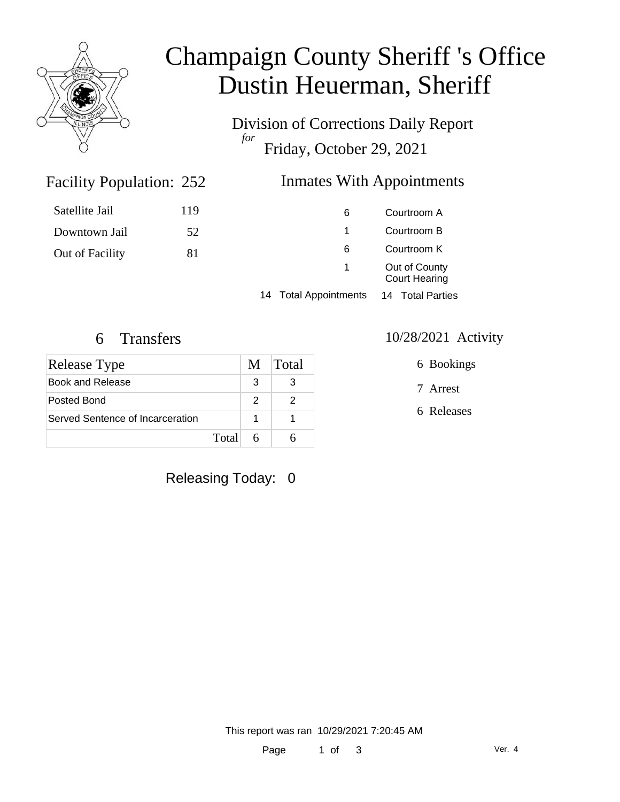

# Champaign County Sheriff 's Office Dustin Heuerman, Sheriff

Division of Corrections Daily Report *for* Friday, October 29, 2021

# Facility Population: 252

### Inmates With Appointments

| Satellite Jail  | 119 | 6                               | Courtroom A                           |  |
|-----------------|-----|---------------------------------|---------------------------------------|--|
| Downtown Jail   | 52  |                                 | Courtroom B                           |  |
| Out of Facility | 81  | 6                               | Courtroom K                           |  |
|                 |     | $\sim$                          | Out of County<br><b>Court Hearing</b> |  |
|                 |     | <b>Total Appointments</b><br>14 | 14 Total Parties                      |  |

| Release Type                     |   | M Total |
|----------------------------------|---|---------|
| Book and Release                 | 3 |         |
| Posted Bond                      | 2 |         |
| Served Sentence of Incarceration |   |         |
| Total                            | 6 |         |

## Releasing Today: 0

#### 6 Transfers 10/28/2021 Activity

6 Bookings

7 Arrest

6 Releases

This report was ran 10/29/2021 7:20:45 AM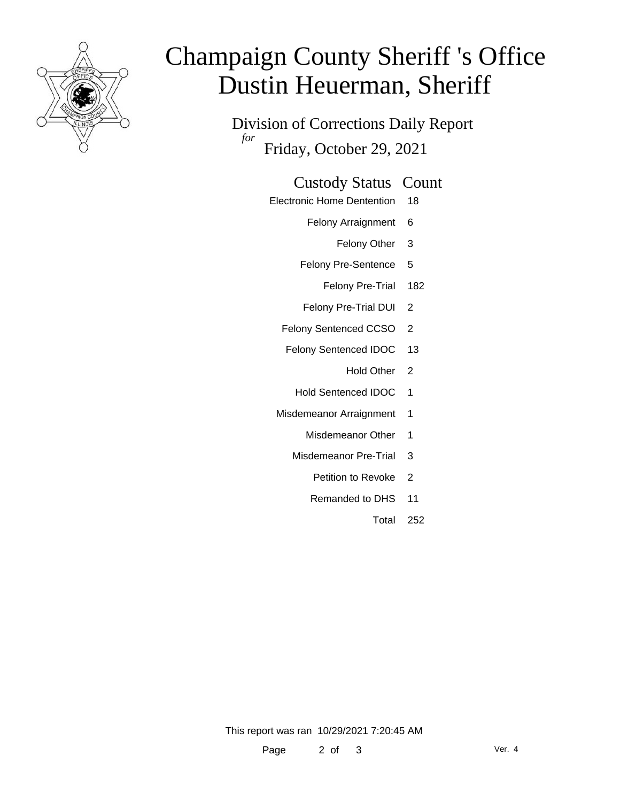

# Champaign County Sheriff 's Office Dustin Heuerman, Sheriff

Division of Corrections Daily Report *for* Friday, October 29, 2021

#### Custody Status Count

- Electronic Home Dentention 18
	- Felony Arraignment 6
		- Felony Other 3
	- Felony Pre-Sentence 5
		- Felony Pre-Trial 182
	- Felony Pre-Trial DUI 2
	- Felony Sentenced CCSO 2
	- Felony Sentenced IDOC 13
		- Hold Other 2
		- Hold Sentenced IDOC 1
	- Misdemeanor Arraignment 1
		- Misdemeanor Other 1
		- Misdemeanor Pre-Trial 3
			- Petition to Revoke 2
			- Remanded to DHS 11
				- Total 252

This report was ran 10/29/2021 7:20:45 AM